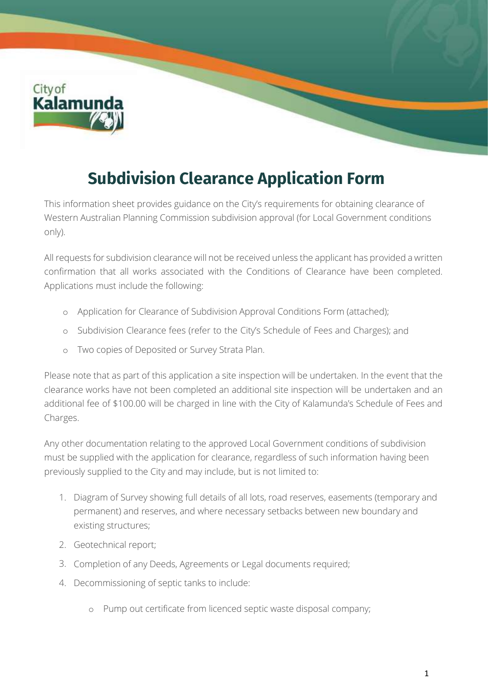City of<br>**Kalamun** 

## **Subdivision Clearance Application Form**

This information sheet provides guidance on the City's requirements for obtaining clearance of Western Australian Planning Commission subdivision approval (for Local Government conditions only).

All requests for subdivision clearance will not be received unless the applicant has provided a written confirmation that all works associated with the Conditions of Clearance have been completed. Applications must include the following:

- o Application for Clearance of Subdivision Approval Conditions Form (attached);
- o Subdivision Clearance fees (refer to the City's Schedule of Fees and Charges); and
- o Two copies of Deposited or Survey Strata Plan.

Please note that as part of this application a site inspection will be undertaken. In the event that the clearance works have not been completed an additional site inspection will be undertaken and an additional fee of \$100.00 will be charged in line with the City of Kalamunda's Schedule of Fees and Charges.

Any other documentation relating to the approved Local Government conditions of subdivision must be supplied with the application for clearance, regardless of such information having been previously supplied to the City and may include, but is not limited to:

- 1. Diagram of Survey showing full details of all lots, road reserves, easements (temporary and permanent) and reserves, and where necessary setbacks between new boundary and existing structures;
- 2. Geotechnical report;
- 3. Completion of any Deeds, Agreements or Legal documents required;
- 4. Decommissioning of septic tanks to include:
	- o Pump out certificate from licenced septic waste disposal company;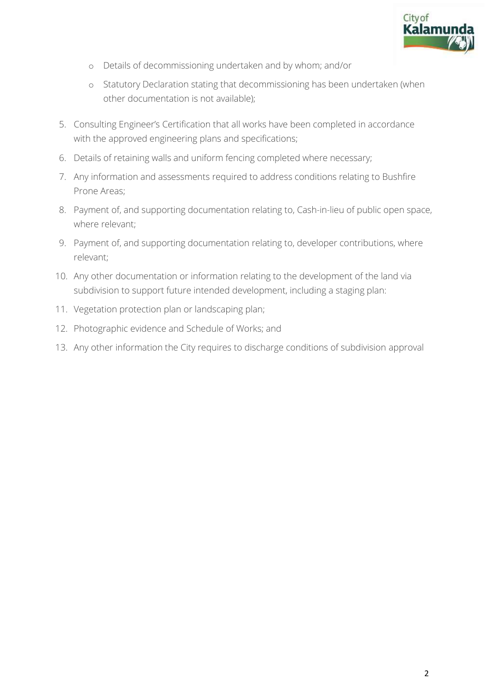

- o Details of decommissioning undertaken and by whom; and/or
- o Statutory Declaration stating that decommissioning has been undertaken (when other documentation is not available);
- 5. Consulting Engineer's Certification that all works have been completed in accordance with the approved engineering plans and specifications;
- 6. Details of retaining walls and uniform fencing completed where necessary;
- 7. Any information and assessments required to address conditions relating to Bushfire Prone Areas;
- 8. Payment of, and supporting documentation relating to, Cash-in-lieu of public open space, where relevant;
- 9. Payment of, and supporting documentation relating to, developer contributions, where relevant;
- 10. Any other documentation or information relating to the development of the land via subdivision to support future intended development, including a staging plan:
- 11. Vegetation protection plan or landscaping plan;
- 12. Photographic evidence and Schedule of Works; and
- 13. Any other information the City requires to discharge conditions of subdivision approval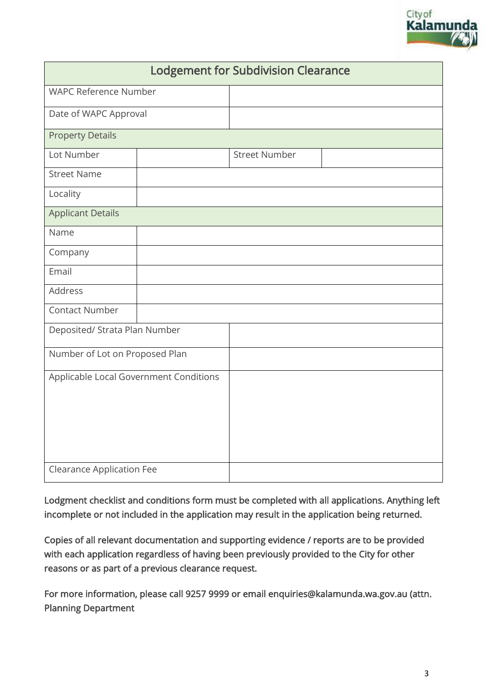

| <b>Lodgement for Subdivision Clearance</b> |  |                      |  |  |
|--------------------------------------------|--|----------------------|--|--|
| <b>WAPC Reference Number</b>               |  |                      |  |  |
| Date of WAPC Approval                      |  |                      |  |  |
| <b>Property Details</b>                    |  |                      |  |  |
| Lot Number                                 |  | <b>Street Number</b> |  |  |
| <b>Street Name</b>                         |  |                      |  |  |
| Locality                                   |  |                      |  |  |
| <b>Applicant Details</b>                   |  |                      |  |  |
| Name                                       |  |                      |  |  |
| Company                                    |  |                      |  |  |
| Email                                      |  |                      |  |  |
| Address                                    |  |                      |  |  |
| <b>Contact Number</b>                      |  |                      |  |  |
| Deposited/ Strata Plan Number              |  |                      |  |  |
| Number of Lot on Proposed Plan             |  |                      |  |  |
| Applicable Local Government Conditions     |  |                      |  |  |
| <b>Clearance Application Fee</b>           |  |                      |  |  |

Lodgment checklist and conditions form must be completed with all applications. Anything left incomplete or not included in the application may result in the application being returned.

Copies of all relevant documentation and supporting evidence / reports are to be provided with each application regardless of having been previously provided to the City for other reasons or as part of a previous clearance request.

For more information, please call 9257 9999 or email enquiries@kalamunda.wa.gov.au (attn. Planning Department